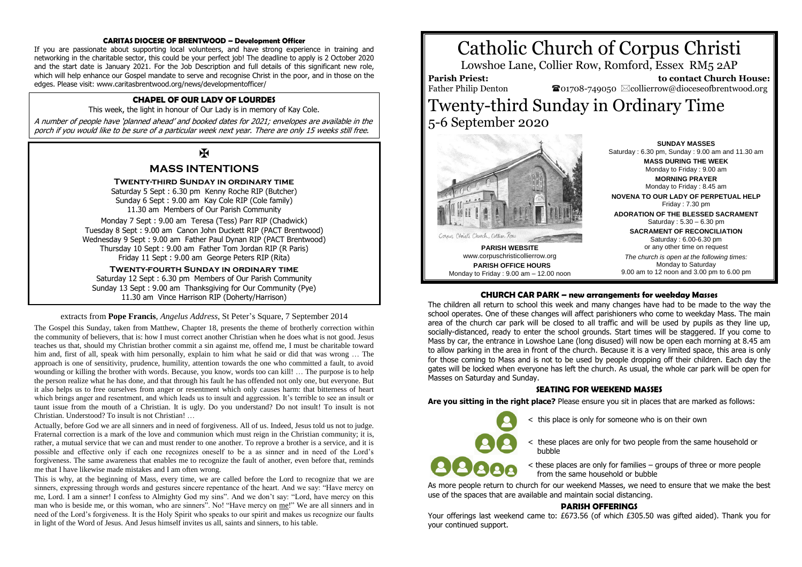#### **CARITAS DIOCESE OF BRENTWOOD – Development Officer**

If you are passionate about supporting local volunteers, and have strong experience in training and networking in the charitable sector, this could be your perfect job! The deadline to apply is 2 October 2020 and the start date is January 2021. For the Job Description and full details of this significant new role, which will help enhance our Gospel mandate to serve and recognise Christ in the poor, and in those on the edges. Please visit: www.caritasbrentwood.org/news/developmentofficer/

# **CHAPEL OF OUR LADY OF LOURDES**

This week, the light in honour of Our Lady is in memory of Kay Cole.

A number of people have 'planned ahead' and booked dates for 2021; envelopes are available in the porch if you would like to be sure of a particular week next year. There are only 15 weeks still free.

# $\overline{\mathbf{R}}$

# **MASS INTENTIONS**

#### **Twenty-third Sunday in ordinary time**

Saturday 5 Sept : 6.30 pm Kenny Roche RIP (Butcher) Sunday 6 Sept : 9.00 am Kay Cole RIP (Cole family) 11.30 am Members of Our Parish Community

Monday 7 Sept : 9.00 am Teresa (Tess) Parr RIP (Chadwick) Tuesday 8 Sept : 9.00 am Canon John Duckett RIP (PACT Brentwood) Wednesday 9 Sept : 9.00 am Father Paul Dynan RIP (PACT Brentwood) Thursday 10 Sept : 9.00 am Father Tom Jordan RIP (R Paris) Friday 11 Sept : 9.00 am George Peters RIP (Rita)

**Twenty-fourth Sunday in ordinary time** Saturday 12 Sept : 6.30 pm Members of Our Parish Community Sunday 13 Sept : 9.00 am Thanksgiving for Our Community (Pye) 11.30 am Vince Harrison RIP (Doherty/Harrison)

#### extracts from **Pope Francis**, *Angelus Address*, St Peter's Square, 7 September 2014

The Gospel this Sunday, taken from Matthew, Chapter 18, presents the theme of brotherly correction within the community of believers, that is: how I must correct another Christian when he does what is not good. Jesus teaches us that, should my Christian brother commit a sin against me, offend me, I must be charitable toward him and, first of all, speak with him personally, explain to him what he said or did that was wrong … The approach is one of sensitivity, prudence, humility, attention towards the one who committed a fault, to avoid wounding or killing the brother with words. Because, you know, words too can kill! … The purpose is to help the person realize what he has done, and that through his fault he has offended not only one, but everyone. But it also helps us to free ourselves from anger or resentment which only causes harm: that bitterness of heart which brings anger and resentment, and which leads us to insult and aggression. It's terrible to see an insult or taunt issue from the mouth of a Christian. It is ugly. Do you understand? Do not insult! To insult is not Christian. Understood? To insult is not Christian! …

Actually, before God we are all sinners and in need of forgiveness. All of us. Indeed, Jesus told us not to judge. Fraternal correction is a mark of the love and communion which must reign in the Christian community; it is, rather, a mutual service that we can and must render to one another. To reprove a brother is a service, and it is possible and effective only if each one recognizes oneself to be a as sinner and in need of the Lord's forgiveness. The same awareness that enables me to recognize the fault of another, even before that, reminds me that I have likewise made mistakes and I am often wrong.

This is why, at the beginning of Mass, every time, we are called before the Lord to recognize that we are sinners, expressing through words and gestures sincere repentance of the heart. And we say: "Have mercy on me, Lord. I am a sinner! I confess to Almighty God my sins". And we don't say: "Lord, have mercy on this man who is beside me, or this woman, who are sinners". No! "Have mercy on me!" We are all sinners and in need of the Lord's forgiveness. It is the Holy Spirit who speaks to our spirit and makes us recognize our faults in light of the Word of Jesus. And Jesus himself invites us all, saints and sinners, to his table.





**PARISH WEBSITE** www.corpuschristicollierrow.org **PARISH OFFICE HOURS** Monday to Friday : 9.00 am – 12.00 noon

**SUNDAY MASSES** Saturday : 6.30 pm, Sunday : 9.00 am and 11.30 am **MASS DURING THE WEEK** Monday to Friday : 9.00 am **MORNING PRAYER** Monday to Friday : 8.45 am **NOVENA TO OUR LADY OF PERPETUAL HELP** Friday : 7.30 pm **ADORATION OF THE BLESSED SACRAMENT** Saturday : 5.30 – 6.30 pm **SACRAMENT OF RECONCILIATION** Saturday : 6.00-6.30 pm or any other time on request *The church is open at the following times:* Monday to Saturday

9.00 am to 12 noon and 3.00 pm to 6.00 pm

# **CHURCH CAR PARK – new arrangements for weekday Masses**

The children all return to school this week and many changes have had to be made to the way the school operates. One of these changes will affect parishioners who come to weekday Mass. The main area of the church car park will be closed to all traffic and will be used by pupils as they line up, socially-distanced, ready to enter the school grounds. Start times will be staggered. If you come to Mass by car, the entrance in Lowshoe Lane (long disused) will now be open each morning at 8.45 am to allow parking in the area in front of the church. Because it is a very limited space, this area is only for those coming to Mass and is not to be used by people dropping off their children. Each day the gates will be locked when everyone has left the church. As usual, the whole car park will be open for Masses on Saturday and Sunday.

#### **SEATING FOR WEEKEND MASSES**

**Are you sitting in the right place?** Please ensure you sit in places that are marked as follows:

- < this place is only for someone who is on their own
- < these places are only for two people from the same household or bubble
- < these places are only for families groups of three or more people from the same household or bubble

As more people return to church for our weekend Masses, we need to ensure that we make the best use of the spaces that are available and maintain social distancing.

#### **PARISH OFFERINGS**

Your offerings last weekend came to: £673.56 (of which £305.50 was gifted aided). Thank you for your continued support.